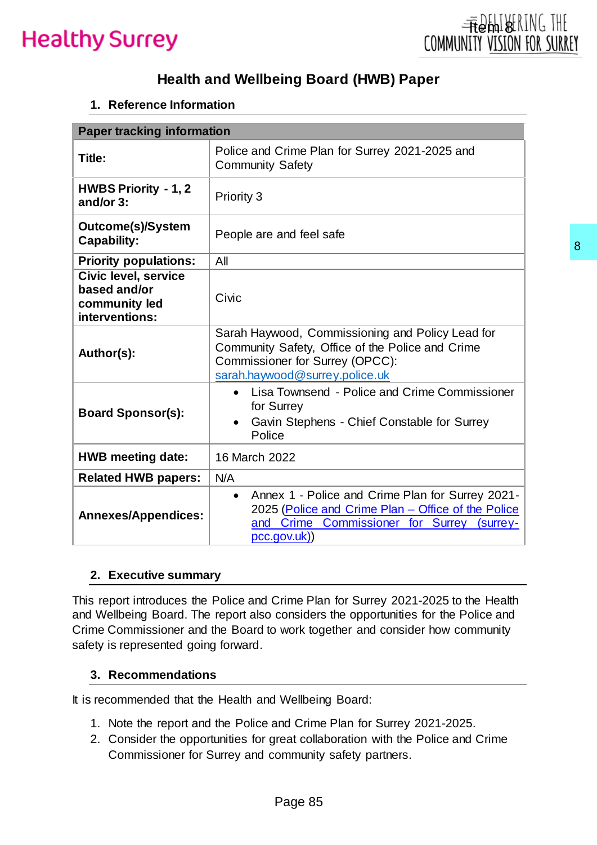## **Health and Wellbeing Board (HWB) Paper**

### **1. Reference Information**

| <b>Paper tracking information</b>                                       |                                                                                                                                                                                                                                                            |  |
|-------------------------------------------------------------------------|------------------------------------------------------------------------------------------------------------------------------------------------------------------------------------------------------------------------------------------------------------|--|
| Title:                                                                  | Police and Crime Plan for Surrey 2021-2025 and<br><b>Community Safety</b>                                                                                                                                                                                  |  |
| <b>HWBS Priority - 1, 2</b><br>and/or 3:                                | Priority 3                                                                                                                                                                                                                                                 |  |
| Outcome(s)/System<br><b>Capability:</b>                                 | People are and feel safe                                                                                                                                                                                                                                   |  |
| <b>Priority populations:</b>                                            | All                                                                                                                                                                                                                                                        |  |
| Civic level, service<br>based and/or<br>community led<br>interventions: | Civic                                                                                                                                                                                                                                                      |  |
| Author(s):                                                              | Sarah Haywood, Commissioning and Policy Lead for<br>Community Safety, Office of the Police and Crime<br>Commissioner for Surrey (OPCC):<br>sarah.haywood@surrey.police.uk                                                                                  |  |
| <b>Board Sponsor(s):</b>                                                | Lisa Townsend - Police and Crime Commissioner<br>$\bullet$<br>for Surrey<br>Gavin Stephens - Chief Constable for Surrey<br>$\bullet$<br>Police                                                                                                             |  |
| <b>HWB meeting date:</b>                                                | 16 March 2022                                                                                                                                                                                                                                              |  |
| <b>Related HWB papers:</b>                                              | N/A                                                                                                                                                                                                                                                        |  |
| <b>Annexes/Appendices:</b>                                              | Annex 1 - Police and Crime Plan for Surrey 2021-<br>$\bullet$<br>2025 (Police and Crime Plan - Office of the Police<br>and Crime<br>Commissioner for Surrey<br>(surrey-<br>pcc.gov.uk)                                                                     |  |
| 2. Executive summary                                                    |                                                                                                                                                                                                                                                            |  |
| safety is represented going forward.                                    | This report introduces the Police and Crime Plan for Surrey 2021-2025 to the Health<br>and Wellbeing Board. The report also considers the opportunities for the Police and<br>Crime Commissioner and the Board to work together and consider how community |  |
| 3. Recommendations                                                      |                                                                                                                                                                                                                                                            |  |
|                                                                         | It is recommended that the Health and Wellbeing Board:                                                                                                                                                                                                     |  |
| 2.                                                                      | 1. Note the report and the Police and Crime Plan for Surrey 2021-2025.<br>Consider the opportunities for great collaboration with the Police and Crime<br>Commissioner for Surrey and community safety partners.                                           |  |
|                                                                         | Page 85                                                                                                                                                                                                                                                    |  |

#### **2. Executive summary**

#### **3. Recommendations**

- 1. Note the report and the Police and Crime Plan for Surrey 2021-2025.
- 2. Consider the opportunities for great collaboration with the Police and Crime Commissioner for Surrey and community safety partners.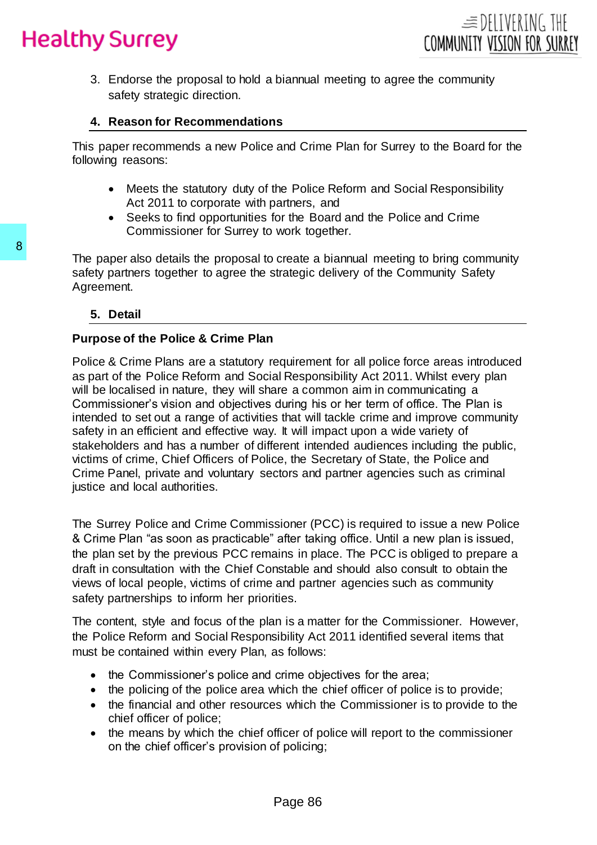3. Endorse the proposal to hold a biannual meeting to agree the community safety strategic direction.

## **4. Reason for Recommendations**

This paper recommends a new Police and Crime Plan for Surrey to the Board for the following reasons:

- Meets the statutory duty of the Police Reform and Social Responsibility Act 2011 to corporate with partners, and
- Seeks to find opportunities for the Board and the Police and Crime Commissioner for Surrey to work together.

The paper also details the proposal to create a biannual meeting to bring community safety partners together to agree the strategic delivery of the Community Safety Agreement.

### **5. Detail**

## **Purpose of the Police & Crime Plan**

Police & Crime Plans are a statutory requirement for all police force areas introduced as part of the Police Reform and Social Responsibility Act 2011. Whilst every plan will be localised in nature, they will share a common aim in communicating a Commissioner's vision and objectives during his or her term of office. The Plan is intended to set out a range of activities that will tackle crime and improve community safety in an efficient and effective way. It will impact upon a wide variety of stakeholders and has a number of different intended audiences including the public, victims of crime, Chief Officers of Police, the Secretary of State, the Police and Crime Panel, private and voluntary sectors and partner agencies such as criminal justice and local authorities. The paper also details the proposal to create a<br>safety partners together to agree the strategic c<br>Agreement.<br>5. Detail<br>Purpose of the Police & Crime Plan<br>as part of the Police & Reform and Social Responting the localised i

The Surrey Police and Crime Commissioner (PCC) is required to issue a new Police & Crime Plan "as soon as practicable" after taking office. Until a new plan is issued, the plan set by the previous PCC remains in place. The PCC is obliged to prepare a draft in consultation with the Chief Constable and should also consult to obtain the views of local people, victims of crime and partner agencies such as community safety partnerships to inform her priorities.

The content, style and focus of the plan is a matter for the Commissioner. However, the Police Reform and Social Responsibility Act 2011 identified several items that must be contained within every Plan, as follows:

- the Commissioner's police and crime objectives for the area;
- the policing of the police area which the chief officer of police is to provide;
- the financial and other resources which the Commissioner is to provide to the chief officer of police;
- the means by which the chief officer of police will report to the commissioner on the chief officer's provision of policing;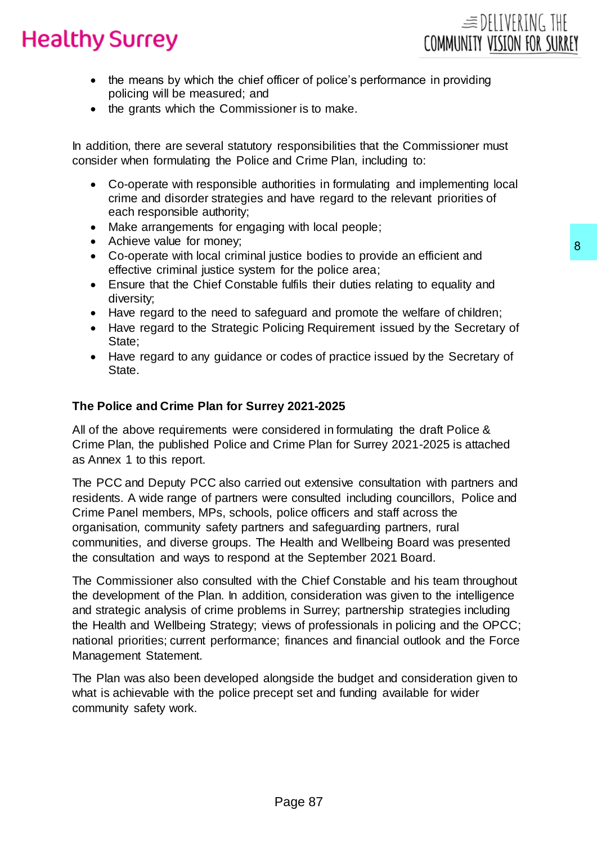

- the means by which the chief officer of police's performance in providing policing will be measured; and
- the grants which the Commissioner is to make.

In addition, there are several statutory responsibilities that the Commissioner must consider when formulating the Police and Crime Plan, including to:

- Co-operate with responsible authorities in formulating and implementing local crime and disorder strategies and have regard to the relevant priorities of each responsible authority;
- Make arrangements for engaging with local people;
- Achieve value for money;
- Co-operate with local criminal justice bodies to provide an efficient and effective criminal justice system for the police area;
- Ensure that the Chief Constable fulfils their duties relating to equality and diversity;
- Have regard to the need to safeguard and promote the welfare of children;
- Have regard to the Strategic Policing Requirement issued by the Secretary of State;
- Have regard to any guidance or codes of practice issued by the Secretary of State.

#### **The Police and Crime Plan for Surrey 2021-2025**

All of the above requirements were considered in formulating the draft Police & Crime Plan, the published Police and Crime Plan for Surrey 2021-2025 is attached as Annex 1 to this report.

The PCC and Deputy PCC also carried out extensive consultation with partners and residents. A wide range of partners were consulted including councillors, Police and Crime Panel members, MPs, schools, police officers and staff across the organisation, community safety partners and safeguarding partners, rural communities, and diverse groups. The Health and Wellbeing Board was presented the consultation and ways to respond at the September 2021 Board.

The Commissioner also consulted with the Chief Constable and his team throughout the development of the Plan. In addition, consideration was given to the intelligence and strategic analysis of crime problems in Surrey; partnership strategies including the Health and Wellbeing Strategy; views of professionals in policing and the OPCC; national priorities; current performance; finances and financial outlook and the Force Management Statement. stice bodies to provide an efficient and<br>for the police area;<br>for the police area;<br>gyard and promote the welfare of children;<br>illcing Requirement issued by the Secretary of<br>codes of practice issued by the Secretary of<br>rode

The Plan was also been developed alongside the budget and consideration given to what is achievable with the police precept set and funding available for wider community safety work.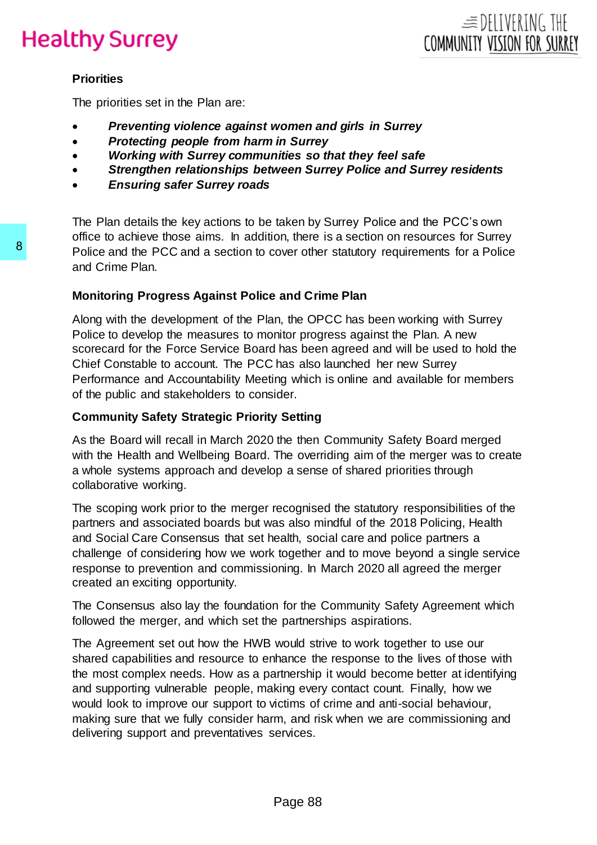### **Priorities**

The priorities set in the Plan are:

- *Preventing violence against women and girls in Surrey*
- *Protecting people from harm in Surrey*
- *Working with Surrey communities so that they feel safe*
- *Strengthen relationships between Surrey Police and Surrey residents*
- *Ensuring safer Surrey roads*

The Plan details the key actions to be taken by Surrey Police and the PCC's own office to achieve those aims. In addition, there is a section on resources for Surrey Police and the PCC and a section to cover other statutory requirements for a Police and Crime Plan.

### **Monitoring Progress Against Police and Crime Plan**

Along with the development of the Plan, the OPCC has been working with Surrey Police to develop the measures to monitor progress against the Plan. A new scorecard for the Force Service Board has been agreed and will be used to hold the Chief Constable to account. The PCC has also launched her new Surrey Performance and Accountability Meeting which is online and available for members of the public and stakeholders to consider.

### **Community Safety Strategic Priority Setting**

As the Board will recall in March 2020 the then Community Safety Board merged with the Health and Wellbeing Board. The overriding aim of the merger was to create a whole systems approach and develop a sense of shared priorities through collaborative working.

The scoping work prior to the merger recognised the statutory responsibilities of the partners and associated boards but was also mindful of the 2018 Policing, Health and Social Care Consensus that set health, social care and police partners a challenge of considering how we work together and to move beyond a single service response to prevention and commissioning. In March 2020 all agreed the merger created an exciting opportunity.

The Consensus also lay the foundation for the Community Safety Agreement which followed the merger, and which set the partnerships aspirations.

The Agreement set out how the HWB would strive to work together to use our shared capabilities and resource to enhance the response to the lives of those with the most complex needs. How as a partnership it would become better at identifying and supporting vulnerable people, making every contact count. Finally, how we would look to improve our support to victims of crime and anti-social behaviour, making sure that we fully consider harm, and risk when we are commissioning and delivering support and preventatives services. Bolice and the PCC and a section to cover othe<br>
and Crime Plan.<br>
Monitoring Progress Against Police and Cri<br>
Along with the development of the Plan, the OF<br>
Police to develop the measures to monitor progress<br>
scorecard for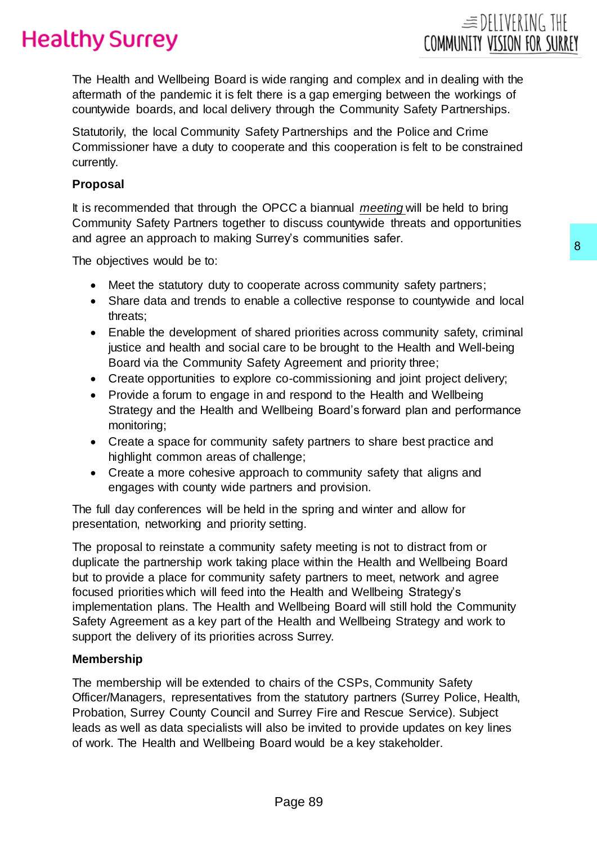

The Health and Wellbeing Board is wide ranging and complex and in dealing with the aftermath of the pandemic it is felt there is a gap emerging between the workings of countywide boards, and local delivery through the Community Safety Partnerships.

Statutorily, the local Community Safety Partnerships and the Police and Crime Commissioner have a duty to cooperate and this cooperation is felt to be constrained currently.

### **Proposal**

It is recommended that through the OPCC a biannual *meeting* will be held to bring Community Safety Partners together to discuss countywide threats and opportunities and agree an approach to making Surrey's communities safer.

The objectives would be to:

- Meet the statutory duty to cooperate across community safety partners;
- Share data and trends to enable a collective response to countywide and local threats;
- Enable the development of shared priorities across community safety, criminal justice and health and social care to be brought to the Health and Well-being Board via the Community Safety Agreement and priority three;
- Create opportunities to explore co-commissioning and joint project delivery;
- Provide a forum to engage in and respond to the Health and Wellbeing Strategy and the Health and Wellbeing Board's forward plan and performance monitoring;
- Create a space for community safety partners to share best practice and highlight common areas of challenge;
- Create a more cohesive approach to community safety that aligns and engages with county wide partners and provision.

The full day conferences will be held in the spring and winter and allow for presentation, networking and priority setting.

The proposal to reinstate a community safety meeting is not to distract from or duplicate the partnership work taking place within the Health and Wellbeing Board but to provide a place for community safety partners to meet, network and agree focused priorities which will feed into the Health and Wellbeing Strategy's implementation plans. The Health and Wellbeing Board will still hold the Community Safety Agreement as a key part of the Health and Wellbeing Strategy and work to support the delivery of its priorities across Surrey. 8<br>
erate across community safety partners;<br>
a a collective response to countlywide and local<br>
red priorities across community safety, criminal<br>
re to be brought to the Health and Well-being<br>
overoministioning and joint pro

#### **Membership**

The membership will be extended to chairs of the CSPs, Community Safety Officer/Managers, representatives from the statutory partners (Surrey Police, Health, Probation, Surrey County Council and Surrey Fire and Rescue Service). Subject leads as well as data specialists will also be invited to provide updates on key lines of work. The Health and Wellbeing Board would be a key stakeholder.